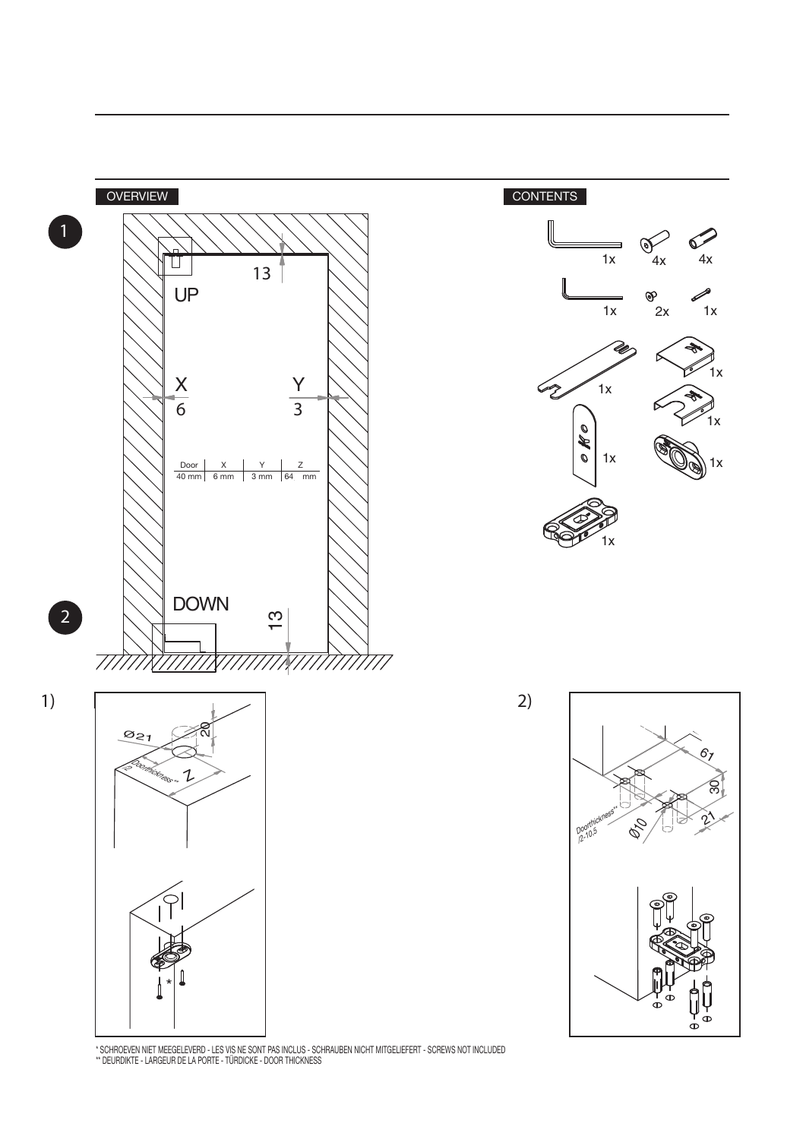





-<br>\* SCHROEVEN NIET MEEGELEVERD - LES VIS NE SONT PAS INCLUS - SCHRAUBEN NICHT MITGELIEFERT - SCREWS NOT INCLUDED<br>\*\* DEURDIKTE - LARGEUR DE LA PORTE - TÜRDICKE - DOOR THICKNESS